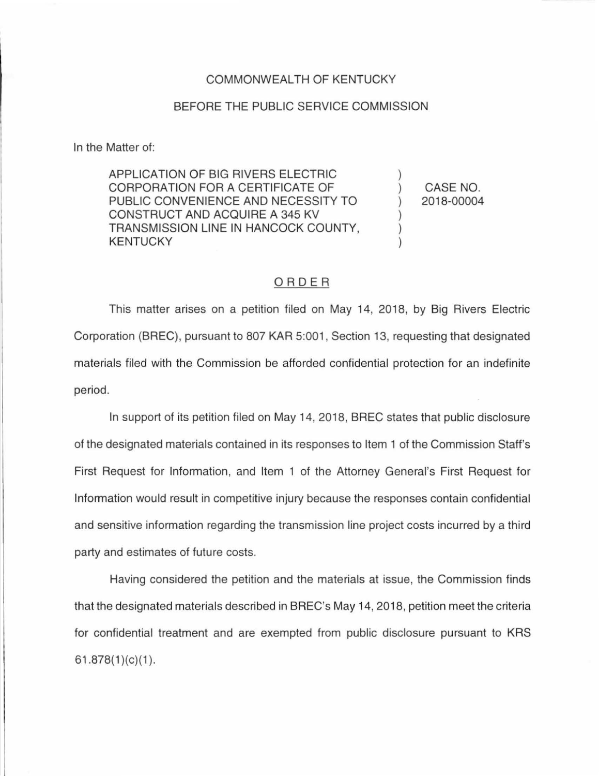## COMMONWEALTH OF KENTUCKY

## BEFORE THE PUBLIC SERVICE COMMISSION

In the Matter of:

APPLICATION OF BIG RIVERS ELECTRIC CORPORATION FOR A CERTIFICATE OF PUBLIC CONVENIENCE AND NECESSITY TO CONSTRUCT AND ACQUIRE A 345 KV TRANSMISSION LINE IN HANCOCK COUNTY, KENTUCKY

) CASE NO. ) 2018-00004

)

) ) )

## ORDER

This matter arises on a petition filed on May 14, 2018, by Big Rivers Electric Corporation (BREC), pursuant to 807 KAR 5:001 , Section 13, requesting that designated materials filed with the Commission be afforded confidential protection for an indefinite period.

In support of its petition filed on May 14, 2018, BREC states that public disclosure of the designated materials contained in its responses to Item 1 of the Commission Staff's First Request for Information, and Item 1 of the Attorney General's First Request for Information would result in competitive injury because the responses contain confidential and sensitive information regarding the transmission line project costs incurred by a third party and estimates of future costs.

Having considered the petition and the materials at issue, the Commission finds that the designated materials described in BREC's May 14, 2018, petition meet the criteria for confidential treatment and are exempted from public disclosure pursuant to KRS  $61.878(1)(c)(1)$ .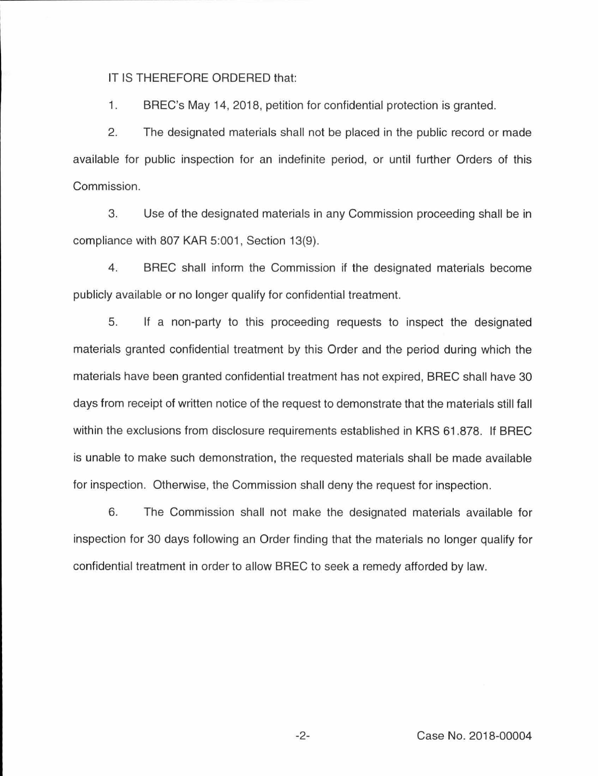IT IS THEREFORE ORDERED that:

1. BREC's May 14, 2018, petition for confidential protection is granted.

2. The designated materials shall not be placed in the public record or made available for public inspection for an indefinite period, or until further Orders of this Commission.

3. Use of the designated materials in any Commission proceeding shall be in compliance with 807 KAR 5:001, Section 13(9).

4 . BREC shall inform the Commission if the designated materials become publicly available or no longer qualify for confidential treatment.

5. If a non-party to this proceeding requests to inspect the designated materials granted confidential treatment by this Order and the period during which the materials have been granted confidential treatment has not expired, BREC shall have 30 days from receipt of written notice of the request to demonstrate that the materials still fall within the exclusions from disclosure requirements established in KRS 61.878. If BREC is unable to make such demonstration, the requested materials shall be made available for inspection. Otherwise, the Commission shall deny the request for inspection.

6. The Commission shall not make the designated materials available for inspection for 30 days following an Order finding that the materials no longer qualify for confidential treatment in order to allow BREC to seek a remedy afforded by law.

-2- Case No. 2018-00004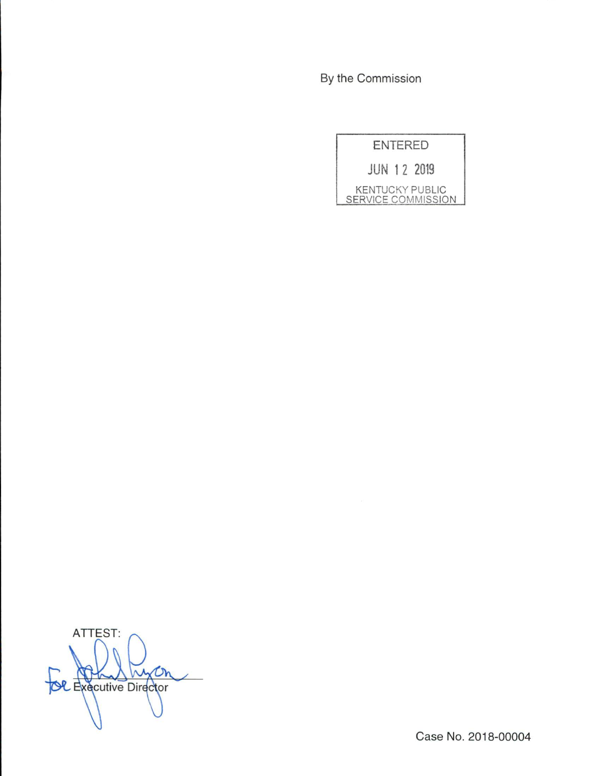By the Commission

| <b>ENTERED</b>                               |
|----------------------------------------------|
| <b>JUN 12 2019</b>                           |
| <b>KENTUCKY PUBLIC</b><br>SERVICE COMMISSION |

ATTEST: w Dh **COL** Executive Director

Case No. 2018-00004